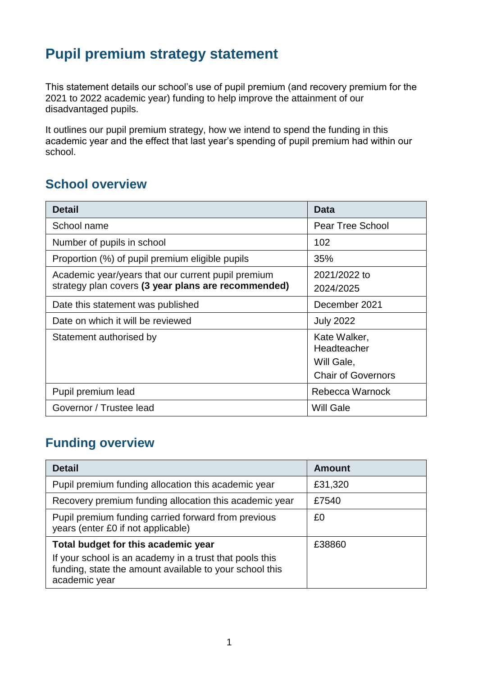# **Pupil premium strategy statement**

This statement details our school's use of pupil premium (and recovery premium for the 2021 to 2022 academic year) funding to help improve the attainment of our disadvantaged pupils.

It outlines our pupil premium strategy, how we intend to spend the funding in this academic year and the effect that last year's spending of pupil premium had within our school.

## **School overview**

| <b>Detail</b>                                       | <b>Data</b>               |
|-----------------------------------------------------|---------------------------|
| School name                                         | <b>Pear Tree School</b>   |
| Number of pupils in school                          | 102                       |
| Proportion (%) of pupil premium eligible pupils     | 35%                       |
| Academic year/years that our current pupil premium  | 2021/2022 to              |
| strategy plan covers (3 year plans are recommended) | 2024/2025                 |
| Date this statement was published                   | December 2021             |
| Date on which it will be reviewed                   | <b>July 2022</b>          |
| Statement authorised by                             | Kate Walker,              |
|                                                     | Headteacher               |
|                                                     | Will Gale,                |
|                                                     | <b>Chair of Governors</b> |
| Pupil premium lead                                  | Rebecca Warnock           |
| Governor / Trustee lead                             | Will Gale                 |

## **Funding overview**

| <b>Detail</b>                                                                                                                                                              | <b>Amount</b> |
|----------------------------------------------------------------------------------------------------------------------------------------------------------------------------|---------------|
| Pupil premium funding allocation this academic year                                                                                                                        | £31,320       |
| Recovery premium funding allocation this academic year                                                                                                                     | £7540         |
| Pupil premium funding carried forward from previous<br>years (enter £0 if not applicable)                                                                                  | £0            |
| Total budget for this academic year<br>If your school is an academy in a trust that pools this<br>funding, state the amount available to your school this<br>academic year | £38860        |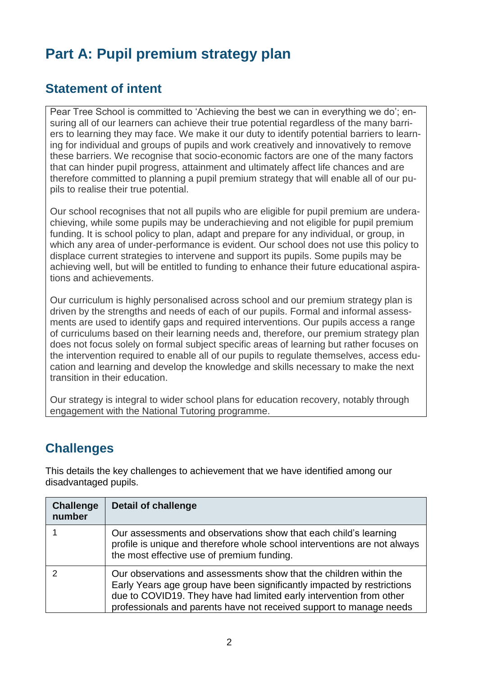# **Part A: Pupil premium strategy plan**

#### **Statement of intent**

Pear Tree School is committed to 'Achieving the best we can in everything we do'; ensuring all of our learners can achieve their true potential regardless of the many barriers to learning they may face. We make it our duty to identify potential barriers to learning for individual and groups of pupils and work creatively and innovatively to remove these barriers. We recognise that socio-economic factors are one of the many factors that can hinder pupil progress, attainment and ultimately affect life chances and are therefore committed to planning a pupil premium strategy that will enable all of our pupils to realise their true potential.

Our school recognises that not all pupils who are eligible for pupil premium are underachieving, while some pupils may be underachieving and not eligible for pupil premium funding. It is school policy to plan, adapt and prepare for any individual, or group, in which any area of under-performance is evident. Our school does not use this policy to displace current strategies to intervene and support its pupils. Some pupils may be achieving well, but will be entitled to funding to enhance their future educational aspirations and achievements.

Our curriculum is highly personalised across school and our premium strategy plan is driven by the strengths and needs of each of our pupils. Formal and informal assessments are used to identify gaps and required interventions. Our pupils access a range of curriculums based on their learning needs and, therefore, our premium strategy plan does not focus solely on formal subject specific areas of learning but rather focuses on the intervention required to enable all of our pupils to regulate themselves, access education and learning and develop the knowledge and skills necessary to make the next transition in their education.

Our strategy is integral to wider school plans for education recovery, notably through engagement with the National Tutoring programme.

## **Challenges**

This details the key challenges to achievement that we have identified among our disadvantaged pupils.

| <b>Challenge</b><br>number | <b>Detail of challenge</b>                                                                                                                                                                                                                                                                 |
|----------------------------|--------------------------------------------------------------------------------------------------------------------------------------------------------------------------------------------------------------------------------------------------------------------------------------------|
|                            | Our assessments and observations show that each child's learning<br>profile is unique and therefore whole school interventions are not always<br>the most effective use of premium funding.                                                                                                |
|                            | Our observations and assessments show that the children within the<br>Early Years age group have been significantly impacted by restrictions<br>due to COVID19. They have had limited early intervention from other<br>professionals and parents have not received support to manage needs |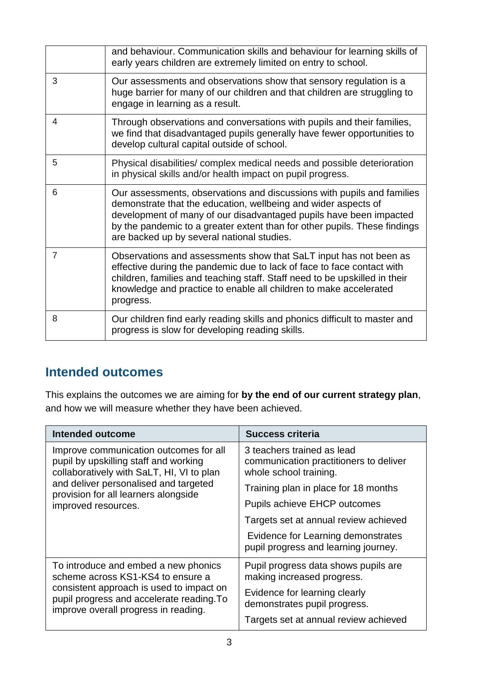|   | and behaviour. Communication skills and behaviour for learning skills of<br>early years children are extremely limited on entry to school.                                                                                                                                                                                                |
|---|-------------------------------------------------------------------------------------------------------------------------------------------------------------------------------------------------------------------------------------------------------------------------------------------------------------------------------------------|
| 3 | Our assessments and observations show that sensory regulation is a<br>huge barrier for many of our children and that children are struggling to<br>engage in learning as a result.                                                                                                                                                        |
| 4 | Through observations and conversations with pupils and their families,<br>we find that disadvantaged pupils generally have fewer opportunities to<br>develop cultural capital outside of school.                                                                                                                                          |
| 5 | Physical disabilities/complex medical needs and possible deterioration<br>in physical skills and/or health impact on pupil progress.                                                                                                                                                                                                      |
| 6 | Our assessments, observations and discussions with pupils and families<br>demonstrate that the education, wellbeing and wider aspects of<br>development of many of our disadvantaged pupils have been impacted<br>by the pandemic to a greater extent than for other pupils. These findings<br>are backed up by several national studies. |
| 7 | Observations and assessments show that SaLT input has not been as<br>effective during the pandemic due to lack of face to face contact with<br>children, families and teaching staff. Staff need to be upskilled in their<br>knowledge and practice to enable all children to make accelerated<br>progress.                               |
| 8 | Our children find early reading skills and phonics difficult to master and<br>progress is slow for developing reading skills.                                                                                                                                                                                                             |

#### **Intended outcomes**

This explains the outcomes we are aiming for **by the end of our current strategy plan**, and how we will measure whether they have been achieved.

| <b>Intended outcome</b>                                                                                                       | <b>Success criteria</b>                                                                        |  |
|-------------------------------------------------------------------------------------------------------------------------------|------------------------------------------------------------------------------------------------|--|
| Improve communication outcomes for all<br>pupil by upskilling staff and working<br>collaboratively with SaLT, HI, VI to plan  | 3 teachers trained as lead<br>communication practitioners to deliver<br>whole school training. |  |
| and deliver personalised and targeted<br>provision for all learners alongside<br>improved resources.                          | Training plan in place for 18 months                                                           |  |
|                                                                                                                               | <b>Pupils achieve EHCP outcomes</b>                                                            |  |
|                                                                                                                               | Targets set at annual review achieved                                                          |  |
|                                                                                                                               | Evidence for Learning demonstrates<br>pupil progress and learning journey.                     |  |
| To introduce and embed a new phonics<br>scheme across KS1-KS4 to ensure a                                                     | Pupil progress data shows pupils are<br>making increased progress.                             |  |
| consistent approach is used to impact on<br>pupil progress and accelerate reading. To<br>improve overall progress in reading. | Evidence for learning clearly<br>demonstrates pupil progress.                                  |  |
|                                                                                                                               | Targets set at annual review achieved                                                          |  |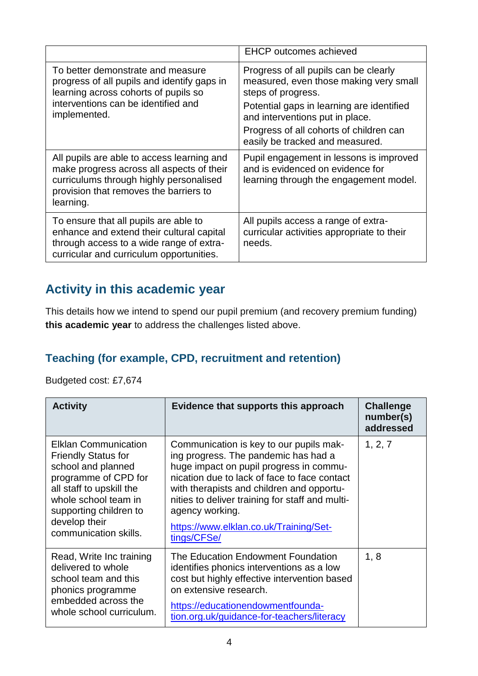|                                                                                                                                                                                           | <b>EHCP</b> outcomes achieved                                                                                                                                                                                                                                       |
|-------------------------------------------------------------------------------------------------------------------------------------------------------------------------------------------|---------------------------------------------------------------------------------------------------------------------------------------------------------------------------------------------------------------------------------------------------------------------|
| To better demonstrate and measure<br>progress of all pupils and identify gaps in<br>learning across cohorts of pupils so<br>interventions can be identified and<br>implemented.           | Progress of all pupils can be clearly<br>measured, even those making very small<br>steps of progress.<br>Potential gaps in learning are identified<br>and interventions put in place.<br>Progress of all cohorts of children can<br>easily be tracked and measured. |
| All pupils are able to access learning and<br>make progress across all aspects of their<br>curriculums through highly personalised<br>provision that removes the barriers to<br>learning. | Pupil engagement in lessons is improved<br>and is evidenced on evidence for<br>learning through the engagement model.                                                                                                                                               |
| To ensure that all pupils are able to<br>enhance and extend their cultural capital<br>through access to a wide range of extra-<br>curricular and curriculum opportunities.                | All pupils access a range of extra-<br>curricular activities appropriate to their<br>needs.                                                                                                                                                                         |

# **Activity in this academic year**

This details how we intend to spend our pupil premium (and recovery premium funding) **this academic year** to address the challenges listed above.

#### **Teaching (for example, CPD, recruitment and retention)**

#### Budgeted cost: £7,674

| <b>Activity</b>                                                                                                                                                                                                                 | Evidence that supports this approach                                                                                                                                                                                                                                                                                                                   | <b>Challenge</b><br>number(s)<br>addressed |
|---------------------------------------------------------------------------------------------------------------------------------------------------------------------------------------------------------------------------------|--------------------------------------------------------------------------------------------------------------------------------------------------------------------------------------------------------------------------------------------------------------------------------------------------------------------------------------------------------|--------------------------------------------|
| <b>Elklan Communication</b><br><b>Friendly Status for</b><br>school and planned<br>programme of CPD for<br>all staff to upskill the<br>whole school team in<br>supporting children to<br>develop their<br>communication skills. | Communication is key to our pupils mak-<br>ing progress. The pandemic has had a<br>huge impact on pupil progress in commu-<br>nication due to lack of face to face contact<br>with therapists and children and opportu-<br>nities to deliver training for staff and multi-<br>agency working.<br>https://www.elklan.co.uk/Training/Set-<br>tings/CFSe/ | 1, 2, 7                                    |
| Read, Write Inc training<br>delivered to whole<br>school team and this<br>phonics programme<br>embedded across the<br>whole school curriculum.                                                                                  | The Education Endowment Foundation<br>identifies phonics interventions as a low<br>cost but highly effective intervention based<br>on extensive research.<br>https://educationendowmentfounda-<br>tion.org.uk/guidance-for-teachers/literacy                                                                                                           | 1, 8                                       |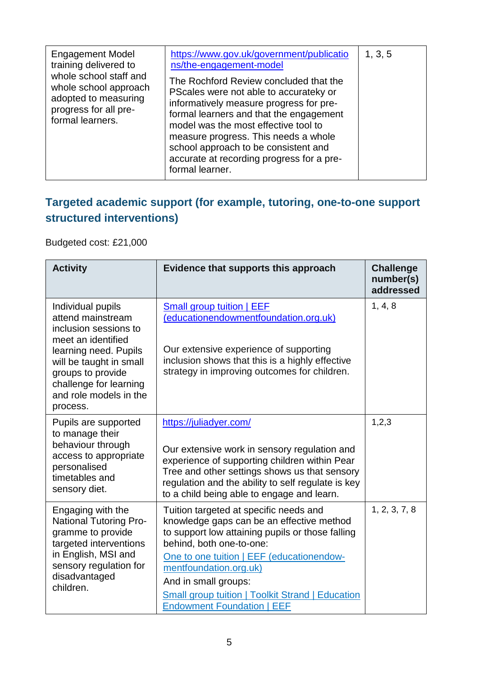| <b>Engagement Model</b><br>training delivered to<br>whole school staff and<br>whole school approach<br>adopted to measuring<br>progress for all pre-<br>formal learners. | https://www.gov.uk/government/publicatio<br>ns/the-engagement-model<br>The Rochford Review concluded that the<br>PScales were not able to accurateky or<br>informatively measure progress for pre-<br>formal learners and that the engagement<br>model was the most effective tool to<br>measure progress. This needs a whole<br>school approach to be consistent and<br>accurate at recording progress for a pre-<br>formal learner. | 1, 3, 5 |
|--------------------------------------------------------------------------------------------------------------------------------------------------------------------------|---------------------------------------------------------------------------------------------------------------------------------------------------------------------------------------------------------------------------------------------------------------------------------------------------------------------------------------------------------------------------------------------------------------------------------------|---------|
|--------------------------------------------------------------------------------------------------------------------------------------------------------------------------|---------------------------------------------------------------------------------------------------------------------------------------------------------------------------------------------------------------------------------------------------------------------------------------------------------------------------------------------------------------------------------------------------------------------------------------|---------|

## **Targeted academic support (for example, tutoring, one-to-one support structured interventions)**

Budgeted cost: £21,000

| <b>Activity</b>                                                                                                                                                                                                                | Evidence that supports this approach                                                                                                                                                                                                                                                                                                                        | <b>Challenge</b><br>number(s)<br>addressed |
|--------------------------------------------------------------------------------------------------------------------------------------------------------------------------------------------------------------------------------|-------------------------------------------------------------------------------------------------------------------------------------------------------------------------------------------------------------------------------------------------------------------------------------------------------------------------------------------------------------|--------------------------------------------|
| Individual pupils<br>attend mainstream<br>inclusion sessions to<br>meet an identified<br>learning need. Pupils<br>will be taught in small<br>groups to provide<br>challenge for learning<br>and role models in the<br>process. | <b>Small group tuition   EEF</b><br>(educationendowmentfoundation.org.uk)<br>Our extensive experience of supporting<br>inclusion shows that this is a highly effective<br>strategy in improving outcomes for children.                                                                                                                                      | 1, 4, 8                                    |
| Pupils are supported<br>to manage their<br>behaviour through<br>access to appropriate<br>personalised<br>timetables and<br>sensory diet.                                                                                       | https://juliadyer.com/<br>Our extensive work in sensory regulation and<br>experience of supporting children within Pear<br>Tree and other settings shows us that sensory<br>regulation and the ability to self regulate is key<br>to a child being able to engage and learn.                                                                                | 1,2,3                                      |
| Engaging with the<br><b>National Tutoring Pro-</b><br>gramme to provide<br>targeted interventions<br>in English, MSI and<br>sensory regulation for<br>disadvantaged<br>children.                                               | Tuition targeted at specific needs and<br>knowledge gaps can be an effective method<br>to support low attaining pupils or those falling<br>behind, both one-to-one:<br>One to one tuition   EEF (educationendow-<br>mentfoundation.org.uk)<br>And in small groups:<br>Small group tuition   Toolkit Strand   Education<br><b>Endowment Foundation   EEF</b> | 1, 2, 3, 7, 8                              |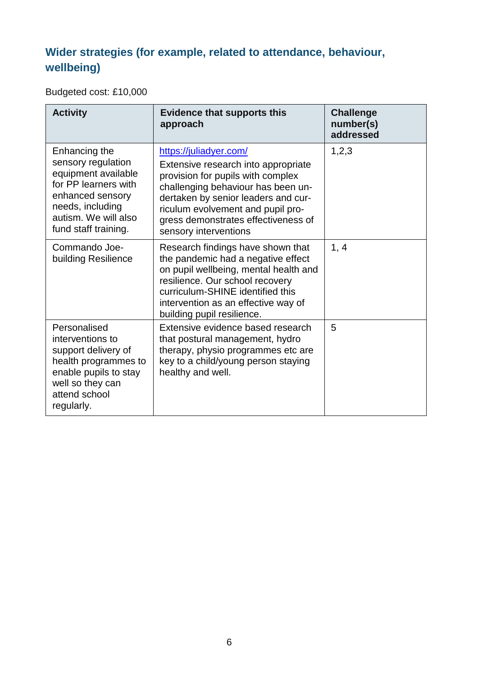# **Wider strategies (for example, related to attendance, behaviour, wellbeing)**

Budgeted cost: £10,000

| <b>Activity</b>                                                                                                                                                            | <b>Evidence that supports this</b><br>approach                                                                                                                                                                                                                                       | <b>Challenge</b><br>number(s)<br>addressed |
|----------------------------------------------------------------------------------------------------------------------------------------------------------------------------|--------------------------------------------------------------------------------------------------------------------------------------------------------------------------------------------------------------------------------------------------------------------------------------|--------------------------------------------|
| Enhancing the<br>sensory regulation<br>equipment available<br>for PP learners with<br>enhanced sensory<br>needs, including<br>autism. We will also<br>fund staff training. | https://juliadyer.com/<br>Extensive research into appropriate<br>provision for pupils with complex<br>challenging behaviour has been un-<br>dertaken by senior leaders and cur-<br>riculum evolvement and pupil pro-<br>gress demonstrates effectiveness of<br>sensory interventions | 1,2,3                                      |
| Commando Joe-<br>building Resilience                                                                                                                                       | Research findings have shown that<br>the pandemic had a negative effect<br>on pupil wellbeing, mental health and<br>resilience. Our school recovery<br>curriculum-SHINE identified this<br>intervention as an effective way of<br>building pupil resilience.                         | 1, 4                                       |
| Personalised<br>interventions to<br>support delivery of<br>health programmes to<br>enable pupils to stay<br>well so they can<br>attend school<br>regularly.                | Extensive evidence based research<br>that postural management, hydro<br>therapy, physio programmes etc are<br>key to a child/young person staying<br>healthy and well.                                                                                                               | 5                                          |